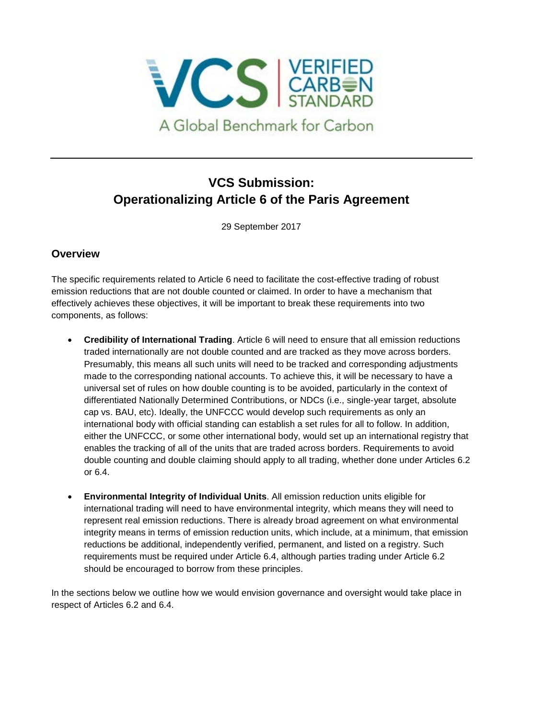

# **VCS Submission: Operationalizing Article 6 of the Paris Agreement**

29 September 2017

### **Overview**

The specific requirements related to Article 6 need to facilitate the cost-effective trading of robust emission reductions that are not double counted or claimed. In order to have a mechanism that effectively achieves these objectives, it will be important to break these requirements into two components, as follows:

- **Credibility of International Trading**. Article 6 will need to ensure that all emission reductions traded internationally are not double counted and are tracked as they move across borders. Presumably, this means all such units will need to be tracked and corresponding adjustments made to the corresponding national accounts. To achieve this, it will be necessary to have a universal set of rules on how double counting is to be avoided, particularly in the context of differentiated Nationally Determined Contributions, or NDCs (i.e., single-year target, absolute cap vs. BAU, etc). Ideally, the UNFCCC would develop such requirements as only an international body with official standing can establish a set rules for all to follow. In addition, either the UNFCCC, or some other international body, would set up an international registry that enables the tracking of all of the units that are traded across borders. Requirements to avoid double counting and double claiming should apply to all trading, whether done under Articles 6.2 or 6.4.
- **Environmental Integrity of Individual Units**. All emission reduction units eligible for international trading will need to have environmental integrity, which means they will need to represent real emission reductions. There is already broad agreement on what environmental integrity means in terms of emission reduction units, which include, at a minimum, that emission reductions be additional, independently verified, permanent, and listed on a registry. Such requirements must be required under Article 6.4, although parties trading under Article 6.2 should be encouraged to borrow from these principles.

In the sections below we outline how we would envision governance and oversight would take place in respect of Articles 6.2 and 6.4.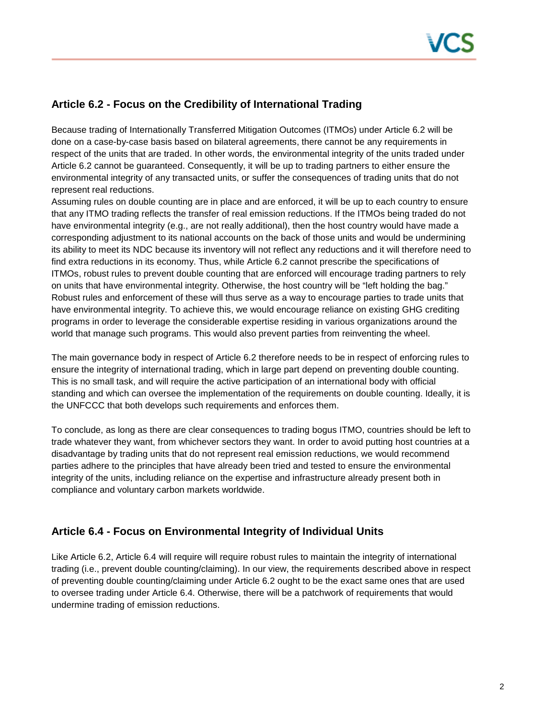## **Article 6.2 - Focus on the Credibility of International Trading**

Because trading of Internationally Transferred Mitigation Outcomes (ITMOs) under Article 6.2 will be done on a case-by-case basis based on bilateral agreements, there cannot be any requirements in respect of the units that are traded. In other words, the environmental integrity of the units traded under Article 6.2 cannot be guaranteed. Consequently, it will be up to trading partners to either ensure the environmental integrity of any transacted units, or suffer the consequences of trading units that do not represent real reductions.

Assuming rules on double counting are in place and are enforced, it will be up to each country to ensure that any ITMO trading reflects the transfer of real emission reductions. If the ITMOs being traded do not have environmental integrity (e.g., are not really additional), then the host country would have made a corresponding adjustment to its national accounts on the back of those units and would be undermining its ability to meet its NDC because its inventory will not reflect any reductions and it will therefore need to find extra reductions in its economy. Thus, while Article 6.2 cannot prescribe the specifications of ITMOs, robust rules to prevent double counting that are enforced will encourage trading partners to rely on units that have environmental integrity. Otherwise, the host country will be "left holding the bag." Robust rules and enforcement of these will thus serve as a way to encourage parties to trade units that have environmental integrity. To achieve this, we would encourage reliance on existing GHG crediting programs in order to leverage the considerable expertise residing in various organizations around the world that manage such programs. This would also prevent parties from reinventing the wheel.

The main governance body in respect of Article 6.2 therefore needs to be in respect of enforcing rules to ensure the integrity of international trading, which in large part depend on preventing double counting. This is no small task, and will require the active participation of an international body with official standing and which can oversee the implementation of the requirements on double counting. Ideally, it is the UNFCCC that both develops such requirements and enforces them.

To conclude, as long as there are clear consequences to trading bogus ITMO, countries should be left to trade whatever they want, from whichever sectors they want. In order to avoid putting host countries at a disadvantage by trading units that do not represent real emission reductions, we would recommend parties adhere to the principles that have already been tried and tested to ensure the environmental integrity of the units, including reliance on the expertise and infrastructure already present both in compliance and voluntary carbon markets worldwide.

### **Article 6.4 - Focus on Environmental Integrity of Individual Units**

Like Article 6.2, Article 6.4 will require will require robust rules to maintain the integrity of international trading (i.e., prevent double counting/claiming). In our view, the requirements described above in respect of preventing double counting/claiming under Article 6.2 ought to be the exact same ones that are used to oversee trading under Article 6.4. Otherwise, there will be a patchwork of requirements that would undermine trading of emission reductions.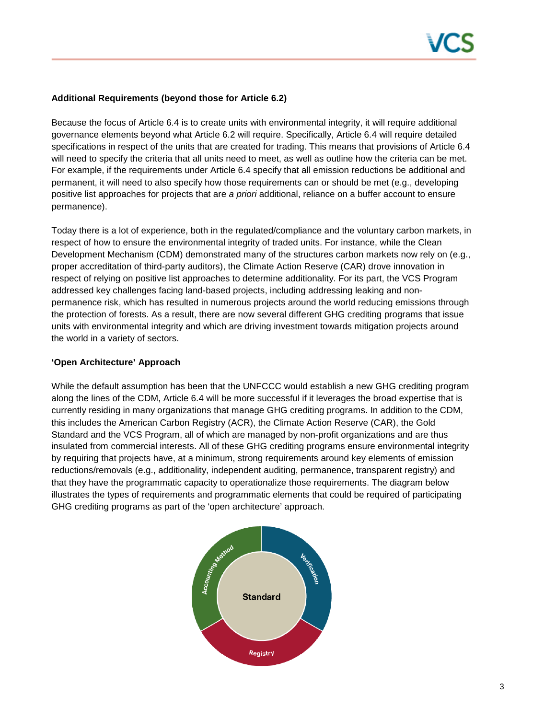

#### **Additional Requirements (beyond those for Article 6.2)**

Because the focus of Article 6.4 is to create units with environmental integrity, it will require additional governance elements beyond what Article 6.2 will require. Specifically, Article 6.4 will require detailed specifications in respect of the units that are created for trading. This means that provisions of Article 6.4 will need to specify the criteria that all units need to meet, as well as outline how the criteria can be met. For example, if the requirements under Article 6.4 specify that all emission reductions be additional and permanent, it will need to also specify how those requirements can or should be met (e.g., developing positive list approaches for projects that are *a priori* additional, reliance on a buffer account to ensure permanence).

Today there is a lot of experience, both in the regulated/compliance and the voluntary carbon markets, in respect of how to ensure the environmental integrity of traded units. For instance, while the Clean Development Mechanism (CDM) demonstrated many of the structures carbon markets now rely on (e.g., proper accreditation of third-party auditors), the Climate Action Reserve (CAR) drove innovation in respect of relying on positive list approaches to determine additionality. For its part, the VCS Program addressed key challenges facing land-based projects, including addressing leaking and nonpermanence risk, which has resulted in numerous projects around the world reducing emissions through the protection of forests. As a result, there are now several different GHG crediting programs that issue units with environmental integrity and which are driving investment towards mitigation projects around the world in a variety of sectors.

#### **'Open Architecture' Approach**

While the default assumption has been that the UNFCCC would establish a new GHG crediting program along the lines of the CDM, Article 6.4 will be more successful if it leverages the broad expertise that is currently residing in many organizations that manage GHG crediting programs. In addition to the CDM, this includes the American Carbon Registry (ACR), the Climate Action Reserve (CAR), the Gold Standard and the VCS Program, all of which are managed by non-profit organizations and are thus insulated from commercial interests. All of these GHG crediting programs ensure environmental integrity by requiring that projects have, at a minimum, strong requirements around key elements of emission reductions/removals (e.g., additionality, independent auditing, permanence, transparent registry) and that they have the programmatic capacity to operationalize those requirements. The diagram below illustrates the types of requirements and programmatic elements that could be required of participating GHG crediting programs as part of the 'open architecture' approach.

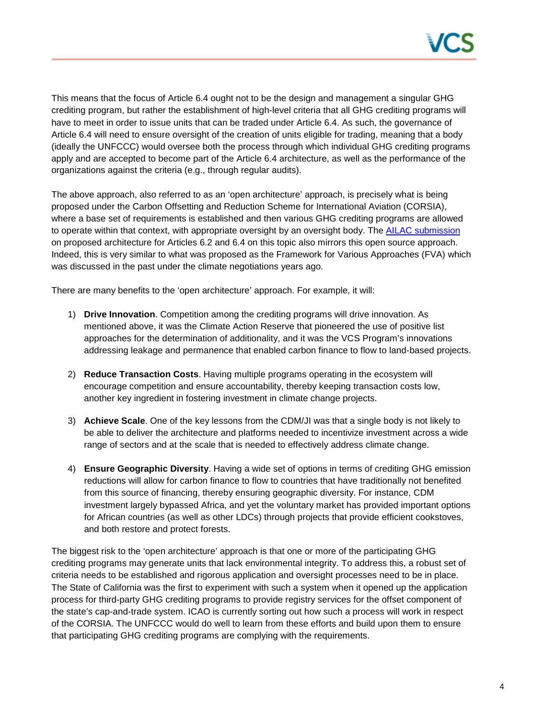

This means that the focus of Article 6.4 ought not to be the design and management a singular GHG crediting program, but rather the establishment of high-level criteria that all GHG crediting programs will have to meet in order to issue units that can be traded under Article 6.4. As such, the governance of Article 6.4 will need to ensure oversight of the creation of units eligible for trading, meaning that a body (ideally the UNFCCC) would oversee both the process through which individual GHG crediting programs apply and are accepted to become part of the Article 6.4 architecture, as well as the performance of the organizations against the criteria (e.g., through regular audits).

The above approach, also referred to as an 'open architecture' approach, is precisely what is being proposed under the Carbon Offsetting and Reduction Scheme for International Aviation (CORSIA), where a base set of requirements is established and then various GHG crediting programs are allowed to operate within that context, with appropriate oversight by an oversight body. The AILAC [submission](http://www4.unfccc.int/Submissions/Lists/OSPSubmissionUpload/233_317_131354732362064812-170331%20AILAC%20Submission%20Article%206%202017.pdf) on proposed architecture for Articles 6.2 and 6.4 on this topic also mirrors this open source approach. Indeed, this is very similar to what was proposed as the Framework for Various Approaches (FVA) which was discussed in the past under the climate negotiations years ago.

There are many benefits to the 'open architecture' approach. For example, it will:

- 1) **Drive Innovation**. Competition among the crediting programs will drive innovation. As mentioned above, it was the Climate Action Reserve that pioneered the use of positive list approaches for the determination of additionality, and it was the VCS Program's innovations addressing leakage and permanence that enabled carbon finance to flow to land-based projects.
- 2) **Reduce Transaction Costs**. Having multiple programs operating in the ecosystem will encourage competition and ensure accountability, thereby keeping transaction costs low, another key ingredient in fostering investment in climate change projects.
- 3) **Achieve Scale**. One of the key lessons from the CDM/JI was that a single body is not likely to be able to deliver the architecture and platforms needed to incentivize investment across a wide range of sectors and at the scale that is needed to effectively address climate change.
- 4) **Ensure Geographic Diversity**. Having a wide set of options in terms of crediting GHG emission reductions will allow for carbon finance to flow to countries that have traditionally not benefited from this source of financing, thereby ensuring geographic diversity. For instance, CDM investment largely bypassed Africa, and yet the voluntary market has provided important options for African countries (as well as other LDCs) through projects that provide efficient cookstoves, and both restore and protect forests.

The biggest risk to the 'open architecture' approach is that one or more of the participating GHG crediting programs may generate units that lack environmental integrity. To address this, a robust set of criteria needs to be established and rigorous application and oversight processes need to be in place. The State of California was the first to experiment with such a system when it opened up the application process for third-party GHG crediting programs to provide registry services for the offset component of the state's cap-and-trade system. ICAO is currently sorting out how such a process will work in respect of the CORSIA. The UNFCCC would do well to learn from these efforts and build upon them to ensure that participating GHG crediting programs are complying with the requirements.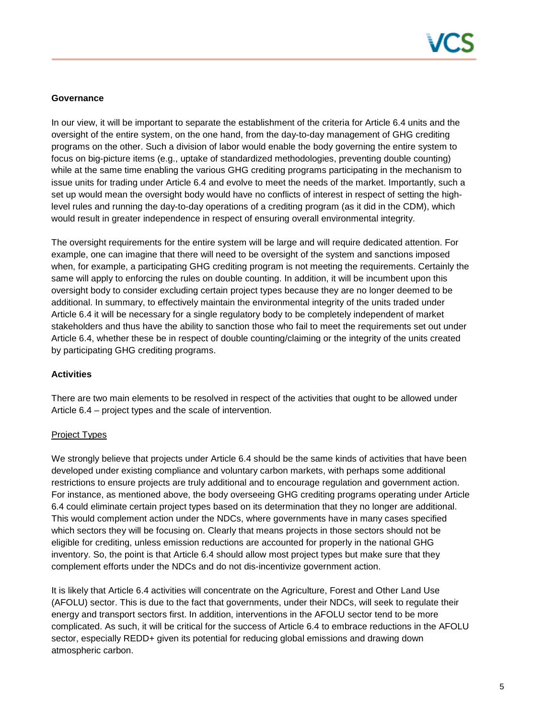

#### **Governance**

In our view, it will be important to separate the establishment of the criteria for Article 6.4 units and the oversight of the entire system, on the one hand, from the day-to-day management of GHG crediting programs on the other. Such a division of labor would enable the body governing the entire system to focus on big-picture items (e.g., uptake of standardized methodologies, preventing double counting) while at the same time enabling the various GHG crediting programs participating in the mechanism to issue units for trading under Article 6.4 and evolve to meet the needs of the market. Importantly, such a set up would mean the oversight body would have no conflicts of interest in respect of setting the highlevel rules and running the day-to-day operations of a crediting program (as it did in the CDM), which would result in greater independence in respect of ensuring overall environmental integrity.

The oversight requirements for the entire system will be large and will require dedicated attention. For example, one can imagine that there will need to be oversight of the system and sanctions imposed when, for example, a participating GHG crediting program is not meeting the requirements. Certainly the same will apply to enforcing the rules on double counting. In addition, it will be incumbent upon this oversight body to consider excluding certain project types because they are no longer deemed to be additional. In summary, to effectively maintain the environmental integrity of the units traded under Article 6.4 it will be necessary for a single regulatory body to be completely independent of market stakeholders and thus have the ability to sanction those who fail to meet the requirements set out under Article 6.4, whether these be in respect of double counting/claiming or the integrity of the units created by participating GHG crediting programs.

#### **Activities**

There are two main elements to be resolved in respect of the activities that ought to be allowed under Article 6.4 – project types and the scale of intervention.

#### Project Types

We strongly believe that projects under Article 6.4 should be the same kinds of activities that have been developed under existing compliance and voluntary carbon markets, with perhaps some additional restrictions to ensure projects are truly additional and to encourage regulation and government action. For instance, as mentioned above, the body overseeing GHG crediting programs operating under Article 6.4 could eliminate certain project types based on its determination that they no longer are additional. This would complement action under the NDCs, where governments have in many cases specified which sectors they will be focusing on. Clearly that means projects in those sectors should not be eligible for crediting, unless emission reductions are accounted for properly in the national GHG inventory. So, the point is that Article 6.4 should allow most project types but make sure that they complement efforts under the NDCs and do not dis-incentivize government action.

It is likely that Article 6.4 activities will concentrate on the Agriculture, Forest and Other Land Use (AFOLU) sector. This is due to the fact that governments, under their NDCs, will seek to regulate their energy and transport sectors first. In addition, interventions in the AFOLU sector tend to be more complicated. As such, it will be critical for the success of Article 6.4 to embrace reductions in the AFOLU sector, especially REDD+ given its potential for reducing global emissions and drawing down atmospheric carbon.